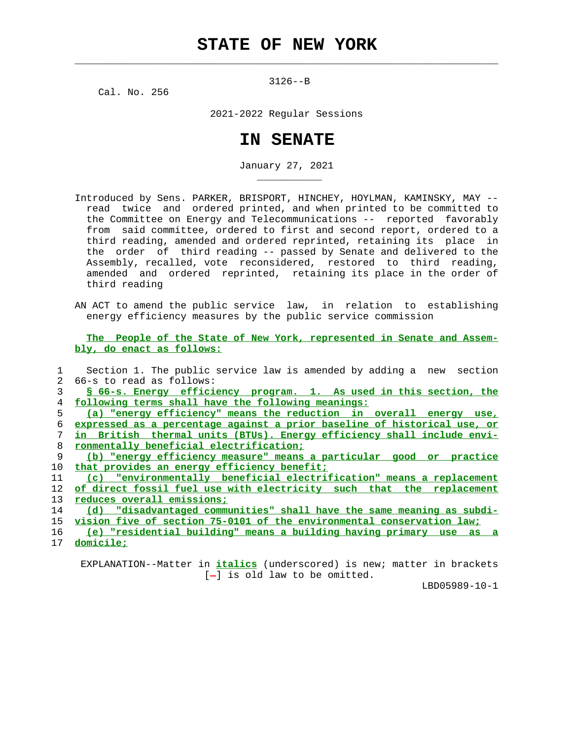$\mathcal{L}_\text{max} = \frac{1}{2} \sum_{i=1}^{n} \frac{1}{2} \sum_{i=1}^{n} \frac{1}{2} \sum_{i=1}^{n} \frac{1}{2} \sum_{i=1}^{n} \frac{1}{2} \sum_{i=1}^{n} \frac{1}{2} \sum_{i=1}^{n} \frac{1}{2} \sum_{i=1}^{n} \frac{1}{2} \sum_{i=1}^{n} \frac{1}{2} \sum_{i=1}^{n} \frac{1}{2} \sum_{i=1}^{n} \frac{1}{2} \sum_{i=1}^{n} \frac{1}{2} \sum_{i=1}^{n} \frac{1$ 

3126--B

Cal. No. 256

\_\_\_\_\_\_\_\_\_\_\_

2021-2022 Regular Sessions

## **IN SENATE**

January 27, 2021

- Introduced by Sens. PARKER, BRISPORT, HINCHEY, HOYLMAN, KAMINSKY, MAY read twice and ordered printed, and when printed to be committed to the Committee on Energy and Telecommunications -- reported favorably from said committee, ordered to first and second report, ordered to a third reading, amended and ordered reprinted, retaining its place in the order of third reading -- passed by Senate and delivered to the Assembly, recalled, vote reconsidered, restored to third reading, amended and ordered reprinted, retaining its place in the order of third reading
- AN ACT to amend the public service law, in relation to establishing energy efficiency measures by the public service commission

 **The People of the State of New York, represented in Senate and Assem bly, do enact as follows:**

|    | Section 1. The public service law is amended by adding a new section     |
|----|--------------------------------------------------------------------------|
| 2. | 66-s to read as follows:                                                 |
| 3  | § 66-s. Energy efficiency program. 1. As used in this section, the       |
| 4  | following terms shall have the following meanings:                       |
| 5. | (a) "energy efficiency" means the reduction in overall energy use,       |
| 6  | expressed as a percentage against a prior baseline of historical use, or |
| 7  | in British thermal units (BTUs). Energy efficiency shall include envi-   |
| 8  | ronmentally beneficial electrification;                                  |
| 9  | (b) "energy efficiency measure" means a particular good or practice      |
| 10 | that provides an energy efficiency benefit;                              |
| 11 | (c) "environmentally beneficial electrification" means a replacement     |
| 12 | of direct fossil fuel use with electricity such that the replacement     |
| 13 | reduces overall emissions;                                               |
| 14 | (d) "disadvantaged communities" shall have the same meaning as subdi-    |
| 15 | vision five of section 75-0101 of the environmental conservation law;    |
| 16 | (e) "residential building" means a building having primary use as a      |
| 17 | domicile:                                                                |

 EXPLANATION--Matter in **italics** (underscored) is new; matter in brackets  $[-]$  is old law to be omitted.

LBD05989-10-1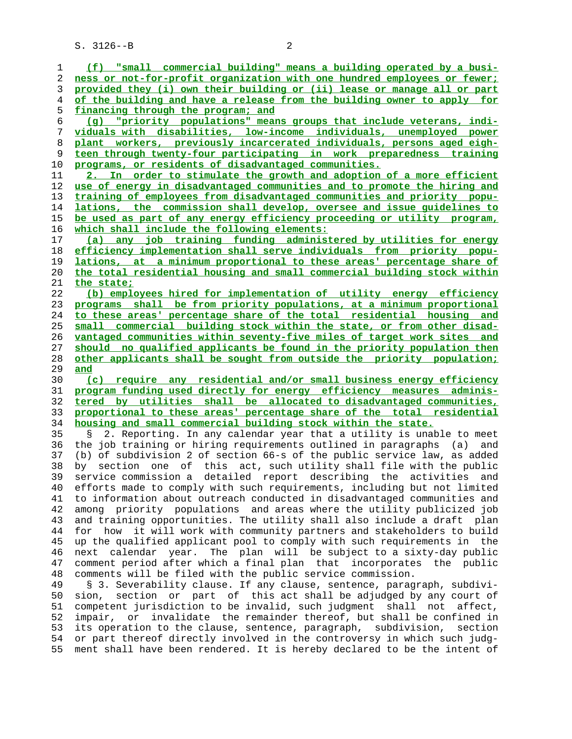S. 3126--B 2

**(f) "small commercial building" means a building operated by a busi- ness or not-for-profit organization with one hundred employees or fewer; provided they (i) own their building or (ii) lease or manage all or part of the building and have a release from the building owner to apply for financing through the program; and (g) "priority populations" means groups that include veterans, indi- viduals with disabilities, low-income individuals, unemployed power plant workers, previously incarcerated individuals, persons aged eigh- teen through twenty-four participating in work preparedness training programs, or residents of disadvantaged communities. 2. In order to stimulate the growth and adoption of a more efficient use of energy in disadvantaged communities and to promote the hiring and training of employees from disadvantaged communities and priority popu- lations, the commission shall develop, oversee and issue guidelines to be used as part of any energy efficiency proceeding or utility program, which shall include the following elements: (a) any job training funding administered by utilities for energy efficiency implementation shall serve individuals from priority popu- lations, at a minimum proportional to these areas' percentage share of the total residential housing and small commercial building stock within the state; (b) employees hired for implementation of utility energy efficiency programs shall be from priority populations, at a minimum proportional to these areas' percentage share of the total residential housing and small commercial building stock within the state, or from other disad- vantaged communities within seventy-five miles of target work sites and should no qualified applicants be found in the priority population then other applicants shall be sought from outside the priority population; and (c) require any residential and/or small business energy efficiency program funding used directly for energy efficiency measures adminis- tered by utilities shall be allocated to disadvantaged communities, proportional to these areas' percentage share of the total residential housing and small commercial building stock within the state.** 35 § 2. Reporting. In any calendar year that a utility is unable to meet 36 the job training or hiring requirements outlined in paragraphs (a) and 37 (b) of subdivision 2 of section 66-s of the public service law, as added 38 by section one of this act, such utility shall file with the public 39 service commission a detailed report describing the activities and 40 efforts made to comply with such requirements, including but not limited 41 to information about outreach conducted in disadvantaged communities and 42 among priority populations and areas where the utility publicized job 43 and training opportunities. The utility shall also include a draft plan 44 for how it will work with community partners and stakeholders to build 45 up the qualified applicant pool to comply with such requirements in the 46 next calendar year. The plan will be subject to a sixty-day public 47 comment period after which a final plan that incorporates the public 48 comments will be filed with the public service commission.<br>49 S 3. Severability clause. If any clause, sentence, parag § 3. Severability clause. If any clause, sentence, paragraph, subdivi- 50 sion, section or part of this act shall be adjudged by any court of 51 competent jurisdiction to be invalid, such judgment shall not affect, 52 impair, or invalidate the remainder thereof, but shall be confined in 53 its operation to the clause, sentence, paragraph, subdivision, section 54 or part thereof directly involved in the controversy in which such judg- 55 ment shall have been rendered. It is hereby declared to be the intent of